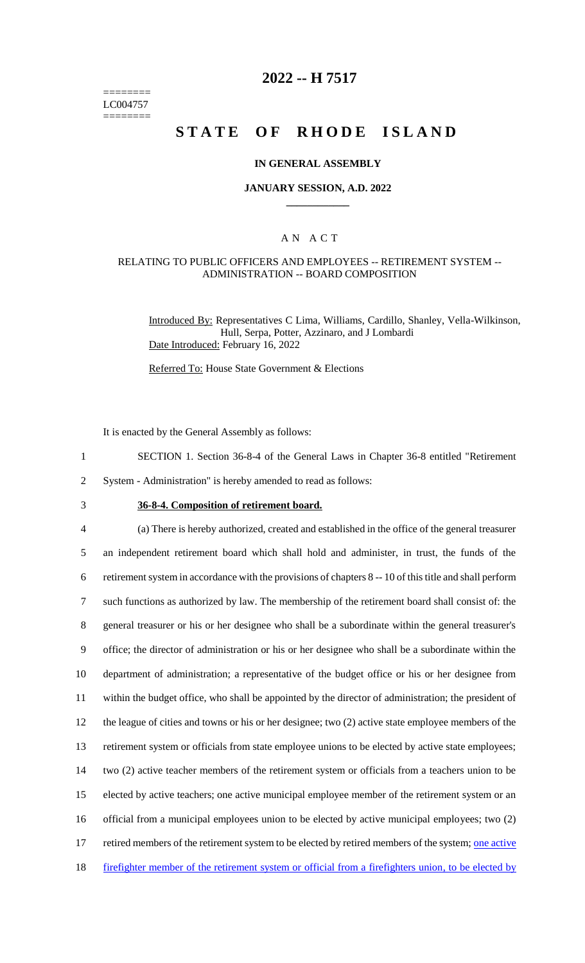======== LC004757 ========

## **2022 -- H 7517**

# **STATE OF RHODE ISLAND**

### **IN GENERAL ASSEMBLY**

### **JANUARY SESSION, A.D. 2022 \_\_\_\_\_\_\_\_\_\_\_\_**

### A N A C T

### RELATING TO PUBLIC OFFICERS AND EMPLOYEES -- RETIREMENT SYSTEM -- ADMINISTRATION -- BOARD COMPOSITION

Introduced By: Representatives C Lima, Williams, Cardillo, Shanley, Vella-Wilkinson, Hull, Serpa, Potter, Azzinaro, and J Lombardi Date Introduced: February 16, 2022

Referred To: House State Government & Elections

It is enacted by the General Assembly as follows:

- 1 SECTION 1. Section 36-8-4 of the General Laws in Chapter 36-8 entitled "Retirement
- 2 System Administration" is hereby amended to read as follows:
- 

## 3 **36-8-4. Composition of retirement board.**

 (a) There is hereby authorized, created and established in the office of the general treasurer an independent retirement board which shall hold and administer, in trust, the funds of the retirement system in accordance with the provisions of chapters 8 -- 10 of this title and shall perform such functions as authorized by law. The membership of the retirement board shall consist of: the general treasurer or his or her designee who shall be a subordinate within the general treasurer's office; the director of administration or his or her designee who shall be a subordinate within the department of administration; a representative of the budget office or his or her designee from within the budget office, who shall be appointed by the director of administration; the president of the league of cities and towns or his or her designee; two (2) active state employee members of the retirement system or officials from state employee unions to be elected by active state employees; two (2) active teacher members of the retirement system or officials from a teachers union to be elected by active teachers; one active municipal employee member of the retirement system or an official from a municipal employees union to be elected by active municipal employees; two (2) 17 retired members of the retirement system to be elected by retired members of the system; one active 18 firefighter member of the retirement system or official from a firefighters union, to be elected by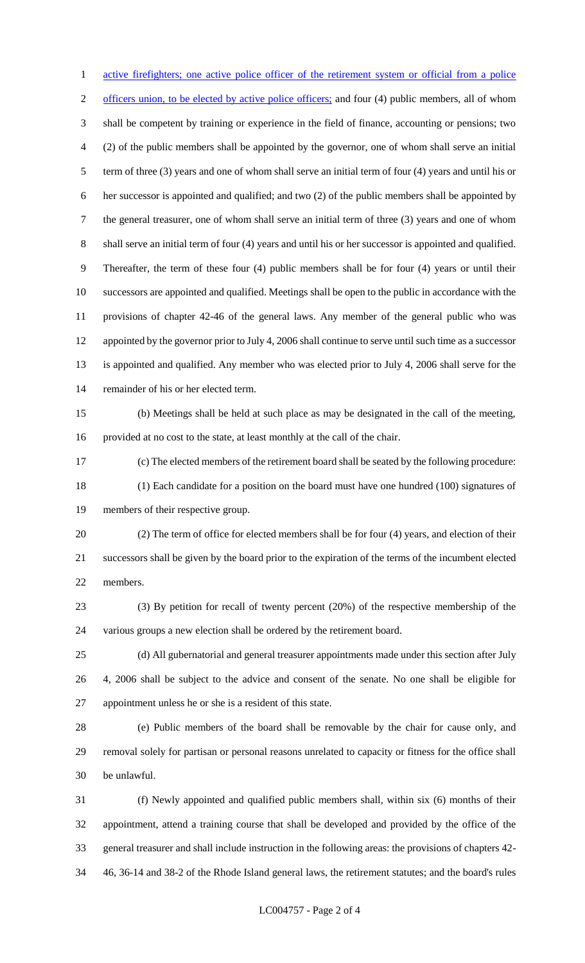1 active firefighters; one active police officer of the retirement system or official from a police 2 officers union, to be elected by active police officers; and four (4) public members, all of whom shall be competent by training or experience in the field of finance, accounting or pensions; two (2) of the public members shall be appointed by the governor, one of whom shall serve an initial term of three (3) years and one of whom shall serve an initial term of four (4) years and until his or her successor is appointed and qualified; and two (2) of the public members shall be appointed by the general treasurer, one of whom shall serve an initial term of three (3) years and one of whom shall serve an initial term of four (4) years and until his or her successor is appointed and qualified. Thereafter, the term of these four (4) public members shall be for four (4) years or until their successors are appointed and qualified. Meetings shall be open to the public in accordance with the provisions of chapter 42-46 of the general laws. Any member of the general public who was appointed by the governor prior to July 4, 2006 shall continue to serve until such time as a successor is appointed and qualified. Any member who was elected prior to July 4, 2006 shall serve for the remainder of his or her elected term. (b) Meetings shall be held at such place as may be designated in the call of the meeting, provided at no cost to the state, at least monthly at the call of the chair. (c) The elected members of the retirement board shall be seated by the following procedure: (1) Each candidate for a position on the board must have one hundred (100) signatures of members of their respective group. (2) The term of office for elected members shall be for four (4) years, and election of their successors shall be given by the board prior to the expiration of the terms of the incumbent elected members. (3) By petition for recall of twenty percent (20%) of the respective membership of the various groups a new election shall be ordered by the retirement board. (d) All gubernatorial and general treasurer appointments made under this section after July 4, 2006 shall be subject to the advice and consent of the senate. No one shall be eligible for appointment unless he or she is a resident of this state. (e) Public members of the board shall be removable by the chair for cause only, and removal solely for partisan or personal reasons unrelated to capacity or fitness for the office shall be unlawful. (f) Newly appointed and qualified public members shall, within six (6) months of their appointment, attend a training course that shall be developed and provided by the office of the general treasurer and shall include instruction in the following areas: the provisions of chapters 42-

46, 36-14 and 38-2 of the Rhode Island general laws, the retirement statutes; and the board's rules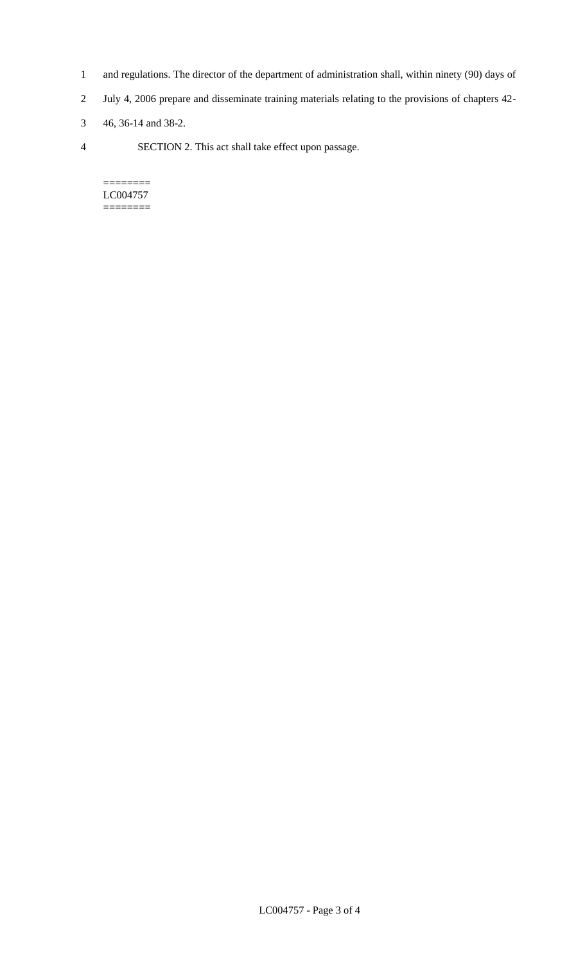- 1 and regulations. The director of the department of administration shall, within ninety (90) days of
- 2 July 4, 2006 prepare and disseminate training materials relating to the provisions of chapters 42-
- 3 46, 36-14 and 38-2.
- 4 SECTION 2. This act shall take effect upon passage.

======== LC004757 ========